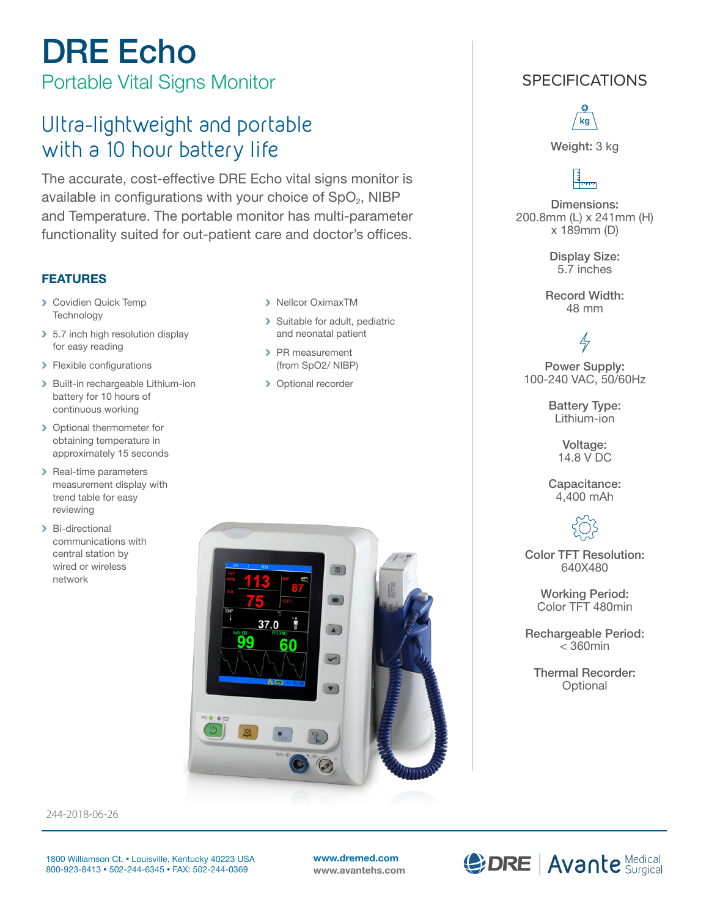# DRE Echo Portable Vital Signs Monitor

Ultra-lightweight and portable with a 10 hour battery life

The accurate, cost-effective DRE Echo vital signs monitor is available in configurations with your choice of  $SpO<sub>2</sub>$ , NIBP and Temperature. The portable monitor has multi-parameter functionality suited for out-patient care and doctor's offices.

### FEATURES

- **> Covidien Quick Temp Technology**
- > 5.7 inch high resolution display for easy reading
- > Flexible configurations
- > Built-in rechargeable Lithium-ion battery for 10 hours of continuous working
- > Optional thermometer for obtaining temperature in approximately 15 seconds
- > Real-time parameters measurement display with trend table for easy reviewing
- > Bi-directional communications with central station by wired or wireless network
- > Nellcor OximaxTM
- > Suitable for adult, pediatric and neonatal patient
- > PR measurement (from SpO2/ NIBP)
- > Optional recorder



## **SPECIFICATIONS**



Weight: 3 kg

Dimensions: 200.8mm (L) x 241mm (H) x 189mm (D)

> Display Size: 5.7 inches

Record Width: 48 mm

# $\frac{1}{\sqrt{2}}$

Power Supply: 100-240 VAC, 50/60Hz

> Battery Type: Lithium-ion

> > Voltage: 14.8 V DC

Capacitance: 4,400 mAh



Color TFT Resolution: 640X480

> Working Period: Color TFT 480min

Rechargeable Period:  $<$  360min

Thermal Recorder: **Optional** 

244-2018-06-26

www.dremed.com www.avantehs.com